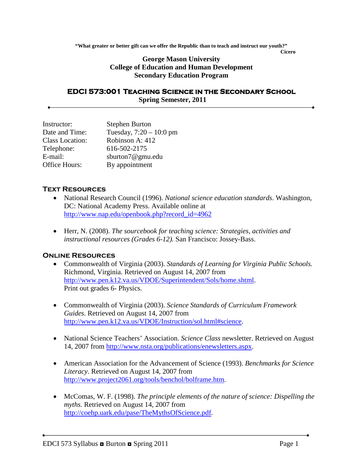**"What greater or better gift can we offer the Republic than to teach and instruct our youth?"**

**Cicero**

### **George Mason University College of Education and Human Development Secondary Education Program**

#### **EDCI 573:001 Teaching Science in the Secondary School Spring Semester, 2011**

| Instructor:     | <b>Stephen Burton</b>     |
|-----------------|---------------------------|
| Date and Time:  | Tuesday, $7:20 - 10:0$ pm |
| Class Location: | Robinson A: 412           |
| Telephone:      | 616-502-2175              |
| E-mail:         | sburton7@gmu.edu          |
| Office Hours:   | By appointment            |

### **Text Resources**

- National Research Council (1996). *National science education standards*. Washington, DC: National Academy Press. Available online at [http://www.nap.edu/openbook.php?record\\_id=4962](http://www.nap.edu/openbook.php?record_id=4962)
- Herr, N. (2008). *The sourcebook for teaching science: Strategies, activities and instructional resources (Grades 6-12).* San Francisco: Jossey-Bass.

### **Online Resources**

- Commonwealth of Virginia (2003). *Standards of Learning for Virginia Public Schools.* Richmond, Virginia. Retrieved on August 14, 2007 from [http://www.pen.k12.va.us/VDOE/Superintendent/Sols/home.shtml.](http://www.pen.k12.va.us/VDOE/Superintendent/Sols/home.shtml) Print out grades 6- Physics.
- Commonwealth of Virginia (2003). *Science Standards of Curriculum Framework Guides.* Retrieved on August 14, 2007 from [http://www.pen.k12.va.us/VDOE/Instruction/sol.html#science.](http://www.pen.k12.va.us/VDOE/Instruction/sol.html#science)
- National Science Teachers' Association. *Science Class* newsletter. Retrieved on August 14, 2007 from [http://www.nsta.org/publications/enewsletters.aspx.](http://www.nsta.org/publications/enewsletters.aspx)
- American Association for the Advancement of Science (1993). *Benchmarks for Science Literacy*. Retrieved on August 14, 2007 from [http://www.project2061.org/tools/benchol/bolframe.htm.](http://www.project2061.org/tools/benchol/bolframe.htm)
- McComas, W. F. (1998). *The principle elements of the nature of science: Dispelling the myths.* Retrieved on August 14, 2007 from [http://coehp.uark.edu/pase/TheMythsOfScience.pdf.](http://coehp.uark.edu/pase/TheMythsOfScience.pdf)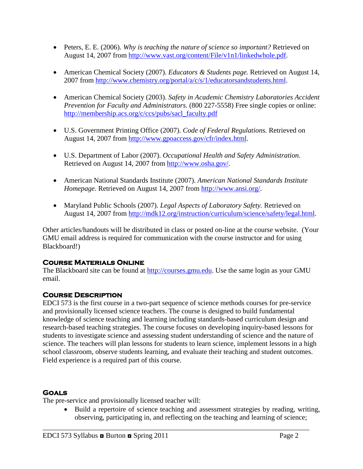- Peters, E. E. (2006). *Why is teaching the nature of science so important?* Retrieved on August 14, 2007 from [http://www.vast.org/content/File/v1n1/linkedwhole.pdf.](http://www.vast.org/content/File/v1n1/linkedwhole.pdf)
- American Chemical Society (2007). *Educators & Students page.* Retrieved on August 14, 2007 from [http://www.chemistry.org/portal/a/c/s/1/educatorsandstudents.html.](http://www.chemistry.org/portal/a/c/s/1/educatorsandstudents.html)
- American Chemical Society (2003). *Safety in Academic Chemistry Laboratories Accident Prevention for Faculty and Administrators*. (800 227-5558) Free single copies or online: [http://membership.acs.org/c/ccs/pubs/sacl\\_faculty.pdf](http://membership.acs.org/c/ccs/pubs/sacl_faculty.pdf)
- U.S. Government Printing Office (2007). *Code of Federal Regulations.* Retrieved on August 14, 2007 from [http://www.gpoaccess.gov/cfr/index.html.](http://www.gpoaccess.gov/cfr/index.html)
- U.S. Department of Labor (2007). *Occupational Health and Safety Administration.*  Retrieved on August 14, 2007 from [http://www.osha.gov/.](http://www.osha.gov/)
- American National Standards Institute (2007). *American National Standards Institute Homepage.* Retrieved on August 14, 2007 from [http://www.ansi.org/.](http://www.ansi.org/)
- Maryland Public Schools (2007). *Legal Aspects of Laboratory Safety.* Retrieved on August 14, 2007 from [http://mdk12.org/instruction/curriculum/science/safety/legal.html.](http://mdk12.org/instruction/curriculum/science/safety/legal.html)

Other articles/handouts will be distributed in class or posted on-line at the course website. (Your GMU email address is required for communication with the course instructor and for using Blackboard!)

## **Course Materials Online**

The Blackboard site can be found at [http://courses.gmu.edu.](http://courses.gmu.edu/) Use the same login as your GMU email.

# **Course Description**

EDCI 573 is the first course in a two-part sequence of science methods courses for pre-service and provisionally licensed science teachers. The course is designed to build fundamental knowledge of science teaching and learning including standards-based curriculum design and research-based teaching strategies. The course focuses on developing inquiry-based lessons for students to investigate science and assessing student understanding of science and the nature of science. The teachers will plan lessons for students to learn science, implement lessons in a high school classroom, observe students learning, and evaluate their teaching and student outcomes. Field experience is a required part of this course.

## **Goals**

The pre-service and provisionally licensed teacher will:

• Build a repertoire of science teaching and assessment strategies by reading, writing, observing, participating in, and reflecting on the teaching and learning of science;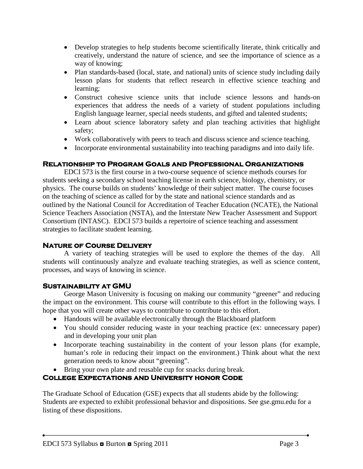- Develop strategies to help students become scientifically literate, think critically and creatively, understand the nature of science, and see the importance of science as a way of knowing;
- Plan standards-based (local, state, and national) units of science study including daily lesson plans for students that reflect research in effective science teaching and learning;
- Construct cohesive science units that include science lessons and hands-on experiences that address the needs of a variety of student populations including English language learner, special needs students, and gifted and talented students;
- Learn about science laboratory safety and plan teaching activities that highlight safety;
- Work collaboratively with peers to teach and discuss science and science teaching.
- Incorporate environmental sustainability into teaching paradigms and into daily life.

# **Relationship to Program Goals and Professional Organizations**

EDCI 573 is the first course in a two-course sequence of science methods courses for students seeking a secondary school teaching license in earth science, biology, chemistry, or physics. The course builds on students' knowledge of their subject matter. The course focuses on the teaching of science as called for by the state and national science standards and as outlined by the National Council for Accreditation of Teacher Education (NCATE), the National Science Teachers Association (NSTA), and the Interstate New Teacher Assessment and Support Consortium (INTASC). EDCI 573 builds a repertoire of science teaching and assessment strategies to facilitate student learning.

### **Nature of Course Delivery**

A variety of teaching strategies will be used to explore the themes of the day. All students will continuously analyze and evaluate teaching strategies, as well as science content, processes, and ways of knowing in science.

### **Sustainability at GMU**

George Mason University is focusing on making our community "greener" and reducing the impact on the environment. This course will contribute to this effort in the following ways. I hope that you will create other ways to contribute to contribute to this effort.

- Handouts will be available electronically through the Blackboard platform
- You should consider reducing waste in your teaching practice (ex: unnecessary paper) and in developing your unit plan
- Incorporate teaching sustainability in the content of your lesson plans (for example, human's role in reducing their impact on the environment.) Think about what the next generation needs to know about "greening".
- Bring your own plate and reusable cup for snacks during break.

# **College Expectations and University honor Code**

The Graduate School of Education (GSE) expects that all students abide by the following: Students are expected to exhibit professional behavior and dispositions. See gse.gmu.edu for a listing of these dispositions.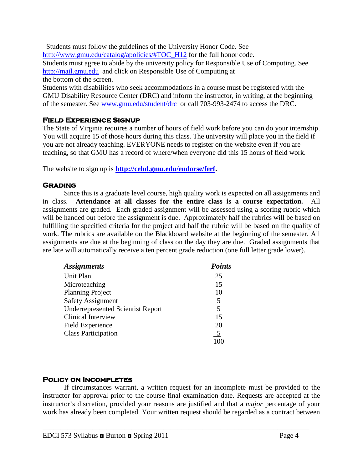Students must follow the guidelines of the University Honor Code. See [http://www.gmu.edu/catalog/apolicies/#TOC\\_H12](http://www.gmu.edu/catalog/apolicies/#TOC_H12) for the full honor code. Students must agree to abide by the university policy for Responsible Use of Computing. See [http://mail.gmu.edu](http://mail.gmu.edu/) and click on Responsible Use of Computing at the bottom of the screen.

Students with disabilities who seek accommodations in a course must be registered with the GMU Disability Resource Center (DRC) and inform the instructor, in writing, at the beginning of the semester. See [www.gmu.edu/student/drc](http://www.gmu.edu/student/drc) or call 703-993-2474 to access the DRC.

## **Field Experience Signup**

The State of Virginia requires a number of hours of field work before you can do your internship. You will acquire 15 of those hours during this class. The university will place you in the field if you are not already teaching. EVERYONE needs to register on the website even if you are teaching, so that GMU has a record of where/when everyone did this 15 hours of field work.

The website to sign up is **[http://cehd.gmu.edu/endorse/ferf.](http://cehd.gmu.edu/endorse/ferf)**

### **Grading**

Since this is a graduate level course, high quality work is expected on all assignments and in class. **Attendance at all classes for the entire class is a course expectation.** All assignments are graded. Each graded assignment will be assessed using a scoring rubric which will be handed out before the assignment is due. Approximately half the rubrics will be based on fulfilling the specified criteria for the project and half the rubric will be based on the quality of work. The rubrics are available on the Blackboard website at the beginning of the semester. All assignments are due at the beginning of class on the day they are due. Graded assignments that are late will automatically receive a ten percent grade reduction (one full letter grade lower).

| <b>Assignments</b>                       | <b>Points</b>  |
|------------------------------------------|----------------|
| Unit Plan                                | 25             |
| Microteaching                            | 15             |
| <b>Planning Project</b>                  | 10             |
| <b>Safety Assignment</b>                 | 5              |
| <b>Underrepresented Scientist Report</b> | 5              |
| <b>Clinical Interview</b>                | 15             |
| <b>Field Experience</b>                  | 20             |
| <b>Class Participation</b>               | $\overline{5}$ |
|                                          |                |

## **Policy on Incompletes**

If circumstances warrant, a written request for an incomplete must be provided to the instructor for approval prior to the course final examination date. Requests are accepted at the instructor's discretion, provided your reasons are justified and that a *major* percentage of your work has already been completed. Your written request should be regarded as a contract between

\_\_\_\_\_\_\_\_\_\_\_\_\_\_\_\_\_\_\_\_\_\_\_\_\_\_\_\_\_\_\_\_\_\_\_\_\_\_\_\_\_\_\_\_\_\_\_\_\_\_\_\_\_\_\_\_\_\_\_\_\_\_\_\_\_\_\_\_\_\_\_\_\_\_\_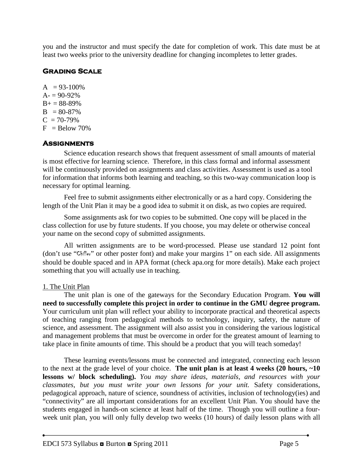you and the instructor and must specify the date for completion of work. This date must be at least two weeks prior to the university deadline for changing incompletes to letter grades.

# **Grading Scale**

 $A = 93-100\%$  $A = 90 - 92\%$  $B+ = 88-89%$  $B = 80-87\%$  $C = 70-79%$  $F =$ Below 70%

## **Assignments**

Science education research shows that frequent assessment of small amounts of material is most effective for learning science. Therefore, in this class formal and informal assessment will be continuously provided on assignments and class activities. Assessment is used as a tool for information that informs both learning and teaching, so this two-way communication loop is necessary for optimal learning.

Feel free to submit assignments either electronically or as a hard copy. Considering the length of the Unit Plan it may be a good idea to submit it on disk, as two copies are required.

Some assignments ask for two copies to be submitted. One copy will be placed in the class collection for use by future students. If you choose, you may delete or otherwise conceal your name on the second copy of submitted assignments.

All written assignments are to be word-processed. Please use standard 12 point font (don't use "Chiller" or other poster font) and make your margins 1" on each side. All assignments should be double spaced and in APA format (check apa.org for more details). Make each project something that you will actually use in teaching.

## 1. The Unit Plan

The unit plan is one of the gateways for the Secondary Education Program. **You will need to successfully complete this project in order to continue in the GMU degree program.** Your curriculum unit plan will reflect your ability to incorporate practical and theoretical aspects of teaching ranging from pedagogical methods to technology, inquiry, safety, the nature of science, and assessment. The assignment will also assist you in considering the various logistical and management problems that must be overcome in order for the greatest amount of learning to take place in finite amounts of time. This should be a product that you will teach someday!

These learning events/lessons must be connected and integrated, connecting each lesson to the next at the grade level of your choice. **The unit plan is at least 4 weeks (20 hours, ~10 lessons w/ block scheduling).** *You may share ideas, materials, and resources with your classmates, but you must write your own lessons for your unit.* Safety considerations, pedagogical approach, nature of science, soundness of activities, inclusion of technology(ies) and "connectivity" are all important considerations for an excellent Unit Plan. You should have the students engaged in hands-on science at least half of the time. Though you will outline a fourweek unit plan, you will only fully develop two weeks (10 hours) of daily lesson plans with all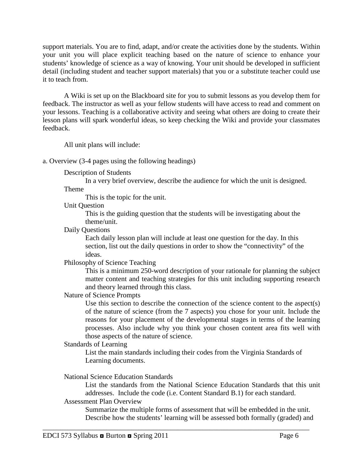support materials. You are to find, adapt, and/or create the activities done by the students. Within your unit you will place explicit teaching based on the nature of science to enhance your students' knowledge of science as a way of knowing. Your unit should be developed in sufficient detail (including student and teacher support materials) that you or a substitute teacher could use it to teach from.

A Wiki is set up on the Blackboard site for you to submit lessons as you develop them for feedback. The instructor as well as your fellow students will have access to read and comment on your lessons. Teaching is a collaborative activity and seeing what others are doing to create their lesson plans will spark wonderful ideas, so keep checking the Wiki and provide your classmates feedback.

All unit plans will include:

a. Overview (3-4 pages using the following headings)

Description of Students

In a very brief overview, describe the audience for which the unit is designed.

Theme

This is the topic for the unit.

Unit Question

This is the guiding question that the students will be investigating about the theme/unit.

Daily Questions

Each daily lesson plan will include at least one question for the day. In this section, list out the daily questions in order to show the "connectivity" of the ideas.

Philosophy of Science Teaching

This is a minimum 250-word description of your rationale for planning the subject matter content and teaching strategies for this unit including supporting research and theory learned through this class.

Nature of Science Prompts

Use this section to describe the connection of the science content to the aspect(s) of the nature of science (from the 7 aspects) you chose for your unit. Include the reasons for your placement of the developmental stages in terms of the learning processes. Also include why you think your chosen content area fits well with those aspects of the nature of science.

### Standards of Learning

List the main standards including their codes from the Virginia Standards of Learning documents.

National Science Education Standards

List the standards from the National Science Education Standards that this unit addresses. Include the code (i.e. Content Standard B.1) for each standard. Assessment Plan Overview

Summarize the multiple forms of assessment that will be embedded in the unit. Describe how the students' learning will be assessed both formally (graded) and

\_\_\_\_\_\_\_\_\_\_\_\_\_\_\_\_\_\_\_\_\_\_\_\_\_\_\_\_\_\_\_\_\_\_\_\_\_\_\_\_\_\_\_\_\_\_\_\_\_\_\_\_\_\_\_\_\_\_\_\_\_\_\_\_\_\_\_\_\_\_\_\_\_\_\_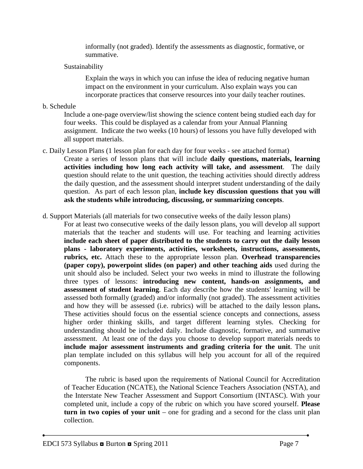informally (not graded). Identify the assessments as diagnostic, formative, or summative.

### Sustainability

Explain the ways in which you can infuse the idea of reducing negative human impact on the environment in your curriculum. Also explain ways you can incorporate practices that conserve resources into your daily teacher routines.

b. Schedule

Include a one-page overview/list showing the science content being studied each day for four weeks. This could be displayed as a calendar from your Annual Planning assignment. Indicate the two weeks (10 hours) of lessons you have fully developed with all support materials.

- c. Daily Lesson Plans (1 lesson plan for each day for four weeks see attached format) Create a series of lesson plans that will include **daily questions, materials, learning activities including how long each activity will take, and assessment**. The daily question should relate to the unit question, the teaching activities should directly address the daily question, and the assessment should interpret student understanding of the daily question. As part of each lesson plan, **include key discussion questions that you will ask the students while introducing, discussing, or summarizing concepts**.
- d. Support Materials (all materials for two consecutive weeks of the daily lesson plans)
	- For at least two consecutive weeks of the daily lesson plans, you will develop all support materials that the teacher and students will use. For teaching and learning activities **include each sheet of paper distributed to the students to carry out the daily lesson plans - laboratory experiments, activities, worksheets, instructions, assessments, rubrics, etc.** Attach these to the appropriate lesson plan. **Overhead transparencies (paper copy), powerpoint slides (on paper) and other teaching aids** used during the unit should also be included. Select your two weeks in mind to illustrate the following three types of lessons: **introducing new content, hands-on assignments, and assessment of student learning**. Each day describe how the students' learning will be assessed both formally (graded) and/or informally (not graded). The assessment activities and how they will be assessed (i.e. rubrics) will be attached to the daily lesson plans**.**  These activities should focus on the essential science concepts and connections, assess higher order thinking skills, and target different learning styles. Checking for understanding should be included daily. Include diagnostic, formative, and summative assessment. At least one of the days you choose to develop support materials needs to **include major assessment instruments and grading criteria for the unit**. The unit plan template included on this syllabus will help you account for all of the required components.

The rubric is based upon the requirements of National Council for Accreditation of Teacher Education (NCATE), the National Science Teachers Association (NSTA), and the Interstate New Teacher Assessment and Support Consortium (INTASC). With your completed unit, include a copy of the rubric on which you have scored yourself. **Please turn in two copies of your unit** – one for grading and a second for the class unit plan collection.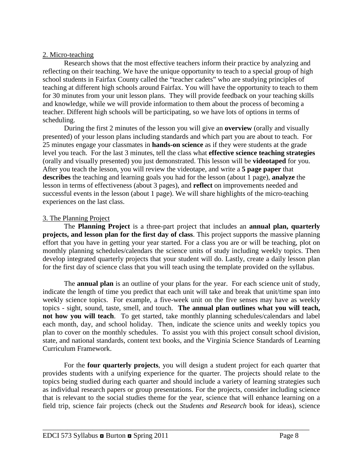### 2. Micro-teaching

Research shows that the most effective teachers inform their practice by analyzing and reflecting on their teaching. We have the unique opportunity to teach to a special group of high school students in Fairfax County called the "teacher cadets" who are studying principles of teaching at different high schools around Fairfax. You will have the opportunity to teach to them for 30 minutes from your unit lesson plans. They will provide feedback on your teaching skills and knowledge, while we will provide information to them about the process of becoming a teacher. Different high schools will be participating, so we have lots of options in terms of scheduling.

During the first 2 minutes of the lesson you will give an **overview** (orally and visually presented) of your lesson plans including standards and which part you are about to teach. For 25 minutes engage your classmates in **hands-on science** as if they were students at the grade level you teach. For the last 3 minutes, tell the class what **effective science teaching strategies**  (orally and visually presented) you just demonstrated. This lesson will be **videotaped** for you. After you teach the lesson, you will review the videotape, and write a **5 page paper** that **describes** the teaching and learning goals you had for the lesson (about 1 page), **analyze** the lesson in terms of effectiveness (about 3 pages), and **reflect** on improvements needed and successful events in the lesson (about 1 page). We will share highlights of the micro-teaching experiences on the last class.

## 3. The Planning Project

The **Planning Project** is a three-part project that includes an **annual plan, quarterly projects, and lesson plan for the first day of class**. This project supports the massive planning effort that you have in getting your year started. For a class you are or will be teaching, plot on monthly planning schedules/calendars the science units of study including weekly topics. Then develop integrated quarterly projects that your student will do. Lastly, create a daily lesson plan for the first day of science class that you will teach using the template provided on the syllabus.

The **annual plan** is an outline of your plans for the year. For each science unit of study, indicate the length of time you predict that each unit will take and break that unit/time span into weekly science topics. For example, a five-week unit on the five senses may have as weekly topics - sight, sound, taste, smell, and touch. **The annual plan outlines what you will teach, not how you will teach**. To get started, take monthly planning schedules/calendars and label each month, day, and school holiday. Then, indicate the science units and weekly topics you plan to cover on the monthly schedules. To assist you with this project consult school division, state, and national standards, content text books, and the Virginia Science Standards of Learning Curriculum Framework.

For the **four quarterly projects**, you will design a student project for each quarter that provides students with a unifying experience for the quarter. The projects should relate to the topics being studied during each quarter and should include a variety of learning strategies such as individual research papers or group presentations. For the projects, consider including science that is relevant to the social studies theme for the year, science that will enhance learning on a field trip, science fair projects (check out the *Students and Research* book for ideas), science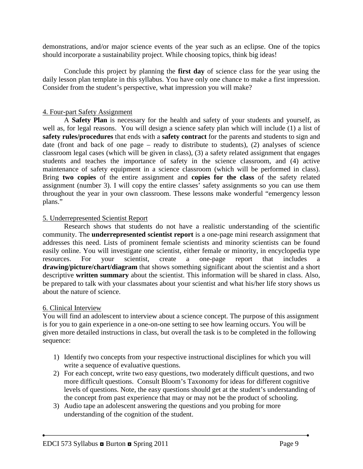demonstrations, and/or major science events of the year such as an eclipse. One of the topics should incorporate a sustainability project. While choosing topics, think big ideas!

Conclude this project by planning the **first day** of science class for the year using the daily lesson plan template in this syllabus. You have only one chance to make a first impression. Consider from the student's perspective, what impression you will make?

#### 4. Four-part Safety Assignment

A **Safety Plan** is necessary for the health and safety of your students and yourself, as well as, for legal reasons. You will design a science safety plan which will include (1) a list of **safety rules/procedures** that ends with a **safety contract** for the parents and students to sign and date (front and back of one page – ready to distribute to students), (2) analyses of science classroom legal cases (which will be given in class), (3) a safety related assignment that engages students and teaches the importance of safety in the science classroom, and (4) active maintenance of safety equipment in a science classroom (which will be performed in class). Bring **two copies** of the entire assignment and **copies for the class** of the safety related assignment (number 3). I will copy the entire classes' safety assignments so you can use them throughout the year in your own classroom. These lessons make wonderful "emergency lesson plans."

#### 5. Underrepresented Scientist Report

Research shows that students do not have a realistic understanding of the scientific community. The **underrepresented scientist report** is a one-page mini research assignment that addresses this need. Lists of prominent female scientists and minority scientists can be found easily online. You will investigate one scientist, either female or minority, in encyclopedia type resources. For your scientist, create a one-page report that includes a **drawing/picture/chart/diagram** that shows something significant about the scientist and a short descriptive **written summary** about the scientist. This information will be shared in class. Also, be prepared to talk with your classmates about your scientist and what his/her life story shows us about the nature of science.

#### 6. Clinical Interview

You will find an adolescent to interview about a science concept. The purpose of this assignment is for you to gain experience in a one-on-one setting to see how learning occurs. You will be given more detailed instructions in class, but overall the task is to be completed in the following sequence:

- 1) Identify two concepts from your respective instructional disciplines for which you will write a sequence of evaluative questions.
- 2) For each concept, write two easy questions, two moderately difficult questions, and two more difficult questions. Consult Bloom's Taxonomy for ideas for different cognitive levels of questions. Note, the easy questions should get at the student's understanding of the concept from past experience that may or may not be the product of schooling.
- 3) Audio tape an adolescent answering the questions and you probing for more understanding of the cognition of the student.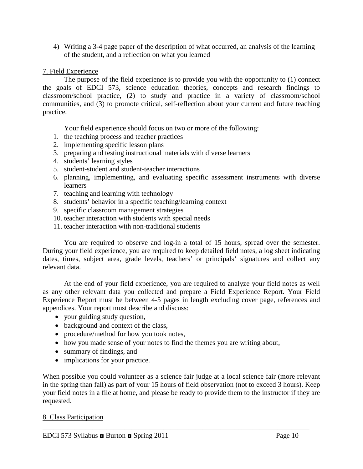4) Writing a 3-4 page paper of the description of what occurred, an analysis of the learning of the student, and a reflection on what you learned

## 7. Field Experience

The purpose of the field experience is to provide you with the opportunity to (1) connect the goals of EDCI 573, science education theories, concepts and research findings to classroom/school practice, (2) to study and practice in a variety of classroom/school communities, and (3) to promote critical, self-reflection about your current and future teaching practice.

Your field experience should focus on two or more of the following:

- 1. the teaching process and teacher practices
- 2. implementing specific lesson plans
- 3. preparing and testing instructional materials with diverse learners
- 4. students' learning styles
- 5. student-student and student-teacher interactions
- 6. planning, implementing, and evaluating specific assessment instruments with diverse learners
- 7. teaching and learning with technology
- 8. students' behavior in a specific teaching/learning context
- 9. specific classroom management strategies
- 10. teacher interaction with students with special needs
- 11. teacher interaction with non-traditional students

You are required to observe and log-in a total of 15 hours, spread over the semester. During your field experience, you are required to keep detailed field notes, a log sheet indicating dates, times, subject area, grade levels, teachers' or principals' signatures and collect any relevant data.

At the end of your field experience, you are required to analyze your field notes as well as any other relevant data you collected and prepare a Field Experience Report. Your Field Experience Report must be between 4-5 pages in length excluding cover page, references and appendices. Your report must describe and discuss:

- your guiding study question,
- background and context of the class,
- procedure/method for how you took notes,
- how you made sense of your notes to find the themes you are writing about,
- summary of findings, and
- implications for your practice.

When possible you could volunteer as a science fair judge at a local science fair (more relevant in the spring than fall) as part of your 15 hours of field observation (not to exceed 3 hours). Keep your field notes in a file at home, and please be ready to provide them to the instructor if they are requested.

### 8. Class Participation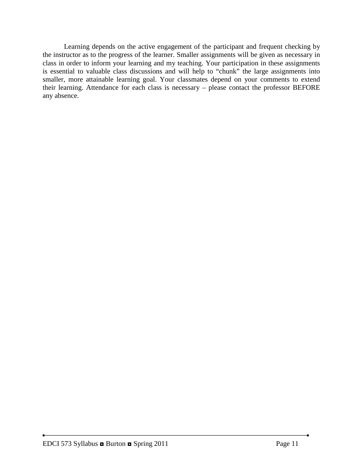Learning depends on the active engagement of the participant and frequent checking by the instructor as to the progress of the learner. Smaller assignments will be given as necessary in class in order to inform your learning and my teaching. Your participation in these assignments is essential to valuable class discussions and will help to "chunk" the large assignments into smaller, more attainable learning goal. Your classmates depend on your comments to extend their learning. Attendance for each class is necessary – please contact the professor BEFORE any absence.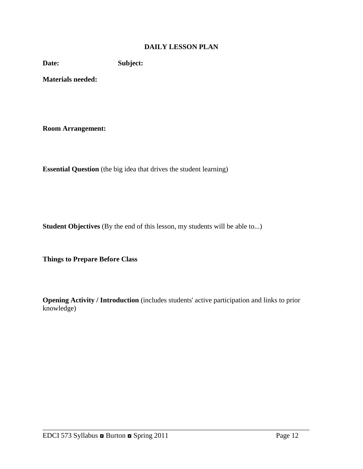### **DAILY LESSON PLAN**

**Date: Subject:**

**Materials needed:** 

**Room Arrangement:**

**Essential Question** (the big idea that drives the student learning)

**Student Objectives** (By the end of this lesson, my students will be able to...)

**Things to Prepare Before Class**

**Opening Activity / Introduction** (includes students' active participation and links to prior knowledge)

\_\_\_\_\_\_\_\_\_\_\_\_\_\_\_\_\_\_\_\_\_\_\_\_\_\_\_\_\_\_\_\_\_\_\_\_\_\_\_\_\_\_\_\_\_\_\_\_\_\_\_\_\_\_\_\_\_\_\_\_\_\_\_\_\_\_\_\_\_\_\_\_\_\_\_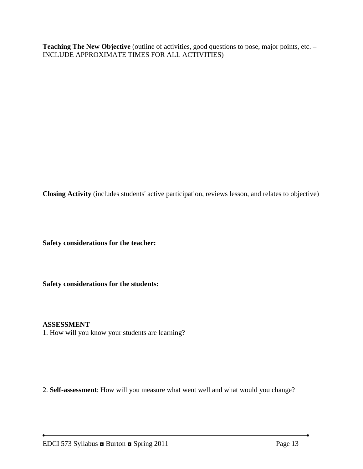Teaching The New Objective (outline of activities, good questions to pose, major points, etc. – INCLUDE APPROXIMATE TIMES FOR ALL ACTIVITIES)

**Closing Activity** (includes students' active participation, reviews lesson, and relates to objective)

**Safety considerations for the teacher:** 

**Safety considerations for the students:**

#### **ASSESSMENT**

1. How will you know your students are learning?

2. **Self-assessment**: How will you measure what went well and what would you change?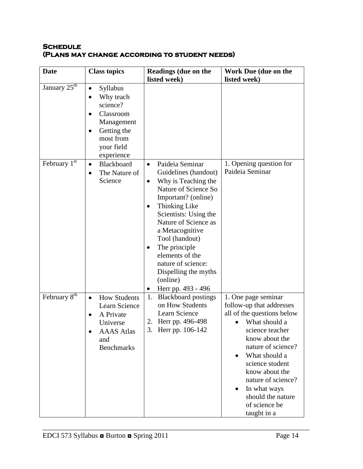### **Schedule (Plans may change according to student needs)**

| <b>Date</b>              | <b>Class topics</b>                                                                                                                                                             | <b>Readings (due on the</b><br>listed week)                                                                                                                                                                                                                                                                                                                        | Work Due (due on the<br>listed week)                                                                                                                                                                                                                                                                                    |
|--------------------------|---------------------------------------------------------------------------------------------------------------------------------------------------------------------------------|--------------------------------------------------------------------------------------------------------------------------------------------------------------------------------------------------------------------------------------------------------------------------------------------------------------------------------------------------------------------|-------------------------------------------------------------------------------------------------------------------------------------------------------------------------------------------------------------------------------------------------------------------------------------------------------------------------|
| January $25th$           | <b>Syllabus</b><br>$\bullet$<br>Why teach<br>$\bullet$<br>science?<br>Classroom<br>$\bullet$<br>Management<br>Getting the<br>$\bullet$<br>most from<br>your field<br>experience |                                                                                                                                                                                                                                                                                                                                                                    |                                                                                                                                                                                                                                                                                                                         |
| February $1st$           | Blackboard<br>$\bullet$<br>The Nature of<br>$\bullet$<br>Science                                                                                                                | Paideia Seminar<br>$\bullet$<br>Guidelines (handout)<br>Why is Teaching the<br>$\bullet$<br>Nature of Science So<br>Important? (online)<br>Thinking Like<br>Scientists: Using the<br>Nature of Science as<br>a Metacognitive<br>Tool (handout)<br>The principle<br>elements of the<br>nature of science:<br>Dispelling the myths<br>(online)<br>Herr pp. 493 - 496 | 1. Opening question for<br>Paideia Seminar                                                                                                                                                                                                                                                                              |
| February 8 <sup>th</sup> | <b>How Students</b><br>$\bullet$<br>Learn Science<br>A Private<br>Universe<br><b>AAAS</b> Atlas<br>and<br><b>Benchmarks</b>                                                     | <b>Blackboard</b> postings<br>1.<br>on How Students<br>Learn Science<br>2. Herr pp. 496-498<br>3.<br>Herr pp. 106-142                                                                                                                                                                                                                                              | 1. One page seminar<br>follow-up that addresses<br>all of the questions below<br>What should a<br>science teacher<br>know about the<br>nature of science?<br>What should a<br>science student<br>know about the<br>nature of science?<br>In what ways<br>$\bullet$<br>should the nature<br>of science be<br>taught in a |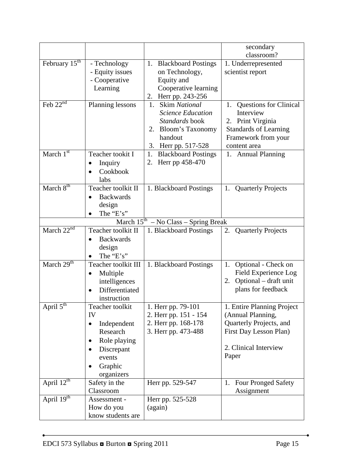|                           |                               |                                            | secondary                                         |
|---------------------------|-------------------------------|--------------------------------------------|---------------------------------------------------|
|                           |                               |                                            | classroom?                                        |
| February $15^{\text{th}}$ | - Technology                  | 1. Blackboard Postings                     | 1. Underrepresented                               |
|                           | - Equity issues               | on Technology,                             | scientist report                                  |
|                           | - Cooperative                 | Equity and                                 |                                                   |
|                           | Learning                      | Cooperative learning                       |                                                   |
|                           |                               | 2. Herr pp. 243-256                        |                                                   |
| Feb $22nd$                | Planning lessons              | 1. Skim National                           | 1. Questions for Clinical                         |
|                           |                               | <b>Science Education</b><br>Standards book | Interview                                         |
|                           |                               | 2. Bloom's Taxonomy                        | 2. Print Virginia<br><b>Standards of Learning</b> |
|                           |                               | handout                                    | Framework from your                               |
|                           |                               | 3. Herr pp. 517-528                        | content area                                      |
| March $1st$               | Teacher tookit I              | <b>Blackboard Postings</b><br>1.           | 1. Annual Planning                                |
|                           | Inquiry                       | Herr pp 458-470<br>2.                      |                                                   |
|                           | Cookbook                      |                                            |                                                   |
|                           | labs                          |                                            |                                                   |
| March 8 <sup>th</sup>     | Teacher toolkit II            | 1. Blackboard Postings                     | 1. Quarterly Projects                             |
|                           | <b>Backwards</b><br>$\bullet$ |                                            |                                                   |
|                           | design                        |                                            |                                                   |
|                           | The "E's"                     |                                            |                                                   |
|                           |                               | March $15^{th}$ – No Class – Spring Break  |                                                   |
| March $22nd$              | Teacher toolkit II            | 1. Blackboard Postings                     | <b>Quarterly Projects</b><br>2.                   |
|                           | <b>Backwards</b><br>$\bullet$ |                                            |                                                   |
|                           | design                        |                                            |                                                   |
|                           | The "E's"                     |                                            |                                                   |
| March $29th$              | Teacher toolkit III           | 1. Blackboard Postings                     | 1. Optional - Check on                            |
|                           | Multiple<br>٠                 |                                            | Field Experience Log                              |
|                           | intelligences                 |                                            | Optional – draft unit<br>2.                       |
|                           | Differentiated                |                                            | plans for feedback                                |
|                           | instruction                   |                                            |                                                   |
| April $5^{\text{th}}$     | Teacher toolkit               | 1. Herr pp. 79-101                         | 1. Entire Planning Project                        |
|                           | IV                            | 2. Herr pp. 151 - 154                      | (Annual Planning,                                 |
|                           | Independent<br>$\bullet$      | 2. Herr pp. 168-178                        | Quarterly Projects, and                           |
|                           | Research                      | 3. Herr pp. 473-488                        | First Day Lesson Plan)                            |
|                           | Role playing                  |                                            |                                                   |
|                           | Discrepant                    |                                            | 2. Clinical Interview                             |
|                           | events                        |                                            | Paper                                             |
|                           | Graphic<br>$\bullet$          |                                            |                                                   |
|                           | organizers                    |                                            |                                                   |
| April $12^{th}$           | Safety in the                 | Herr pp. 529-547                           | 1. Four Pronged Safety                            |
| April 19th                | Classroom                     |                                            | Assignment                                        |
|                           | Assessment -<br>How do you    | Herr pp. 525-528<br>(again)                |                                                   |
|                           | know students are             |                                            |                                                   |
|                           |                               |                                            |                                                   |

٠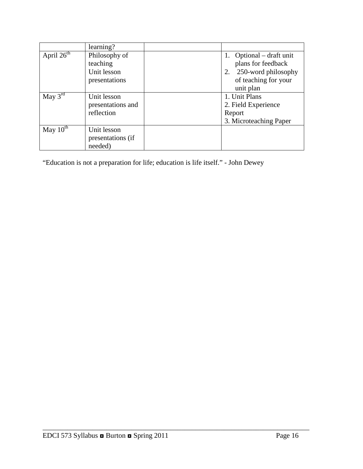|                            | learning?         |                            |
|----------------------------|-------------------|----------------------------|
| April $26^{\overline{th}}$ | Philosophy of     | 1. Optional $-$ draft unit |
|                            | teaching          | plans for feedback         |
|                            | Unit lesson       | 250-word philosophy        |
|                            | presentations     | of teaching for your       |
|                            |                   | unit plan                  |
| May $3^{rd}$               | Unit lesson       | 1. Unit Plans              |
|                            | presentations and | 2. Field Experience        |
|                            | reflection        | Report                     |
|                            |                   | 3. Microteaching Paper     |
| May $10^{th}$              | Unit lesson       |                            |
|                            | presentations (if |                            |
|                            | needed)           |                            |

\_\_\_\_\_\_\_\_\_\_\_\_\_\_\_\_\_\_\_\_\_\_\_\_\_\_\_\_\_\_\_\_\_\_\_\_\_\_\_\_\_\_\_\_\_\_\_\_\_\_\_\_\_\_\_\_\_\_\_\_\_\_\_\_\_\_\_\_\_\_\_\_\_\_\_

"Education is not a preparation for life; education is life itself." - John Dewey